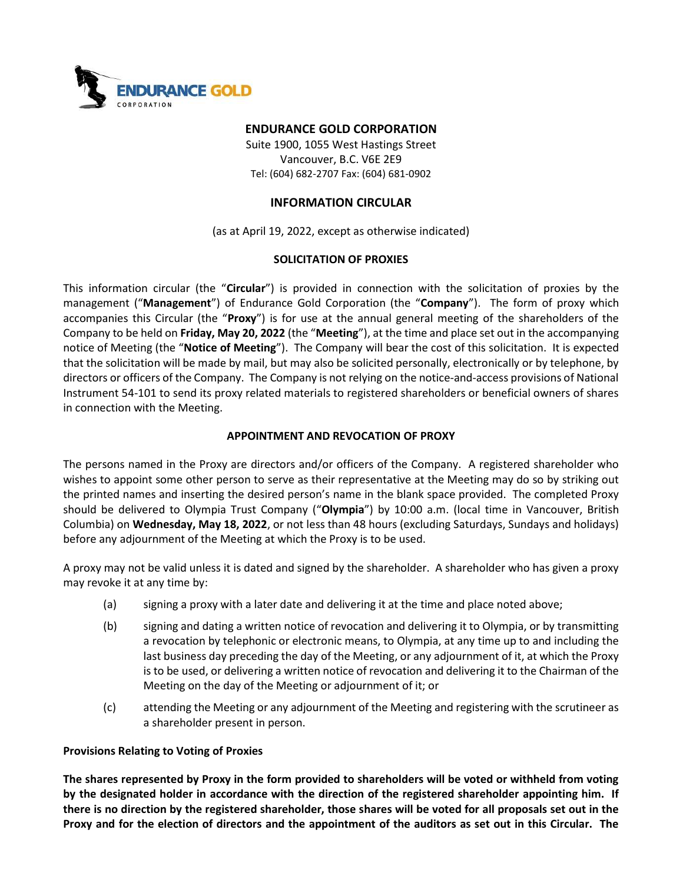

## ENDURANCE GOLD CORPORATION

Suite 1900, 1055 West Hastings Street Vancouver, B.C. V6E 2E9 Tel: (604) 682-2707 Fax: (604) 681-0902

# INFORMATION CIRCULAR

(as at April 19, 2022, except as otherwise indicated)

## SOLICITATION OF PROXIES

This information circular (the "Circular") is provided in connection with the solicitation of proxies by the management ("Management") of Endurance Gold Corporation (the "Company"). The form of proxy which accompanies this Circular (the "Proxy") is for use at the annual general meeting of the shareholders of the Company to be held on Friday, May 20, 2022 (the "Meeting"), at the time and place set out in the accompanying notice of Meeting (the "Notice of Meeting"). The Company will bear the cost of this solicitation. It is expected that the solicitation will be made by mail, but may also be solicited personally, electronically or by telephone, by directors or officers of the Company. The Company is not relying on the notice-and-access provisions of National Instrument 54-101 to send its proxy related materials to registered shareholders or beneficial owners of shares in connection with the Meeting.

## APPOINTMENT AND REVOCATION OF PROXY

The persons named in the Proxy are directors and/or officers of the Company. A registered shareholder who wishes to appoint some other person to serve as their representative at the Meeting may do so by striking out the printed names and inserting the desired person's name in the blank space provided. The completed Proxy should be delivered to Olympia Trust Company ("Olympia") by 10:00 a.m. (local time in Vancouver, British Columbia) on Wednesday, May 18, 2022, or not less than 48 hours (excluding Saturdays, Sundays and holidays) before any adjournment of the Meeting at which the Proxy is to be used.

A proxy may not be valid unless it is dated and signed by the shareholder. A shareholder who has given a proxy may revoke it at any time by:

- (a) signing a proxy with a later date and delivering it at the time and place noted above;
- (b) signing and dating a written notice of revocation and delivering it to Olympia, or by transmitting a revocation by telephonic or electronic means, to Olympia, at any time up to and including the last business day preceding the day of the Meeting, or any adjournment of it, at which the Proxy is to be used, or delivering a written notice of revocation and delivering it to the Chairman of the Meeting on the day of the Meeting or adjournment of it; or
- (c) attending the Meeting or any adjournment of the Meeting and registering with the scrutineer as a shareholder present in person.

# Provisions Relating to Voting of Proxies

The shares represented by Proxy in the form provided to shareholders will be voted or withheld from voting by the designated holder in accordance with the direction of the registered shareholder appointing him. If there is no direction by the registered shareholder, those shares will be voted for all proposals set out in the Proxy and for the election of directors and the appointment of the auditors as set out in this Circular. The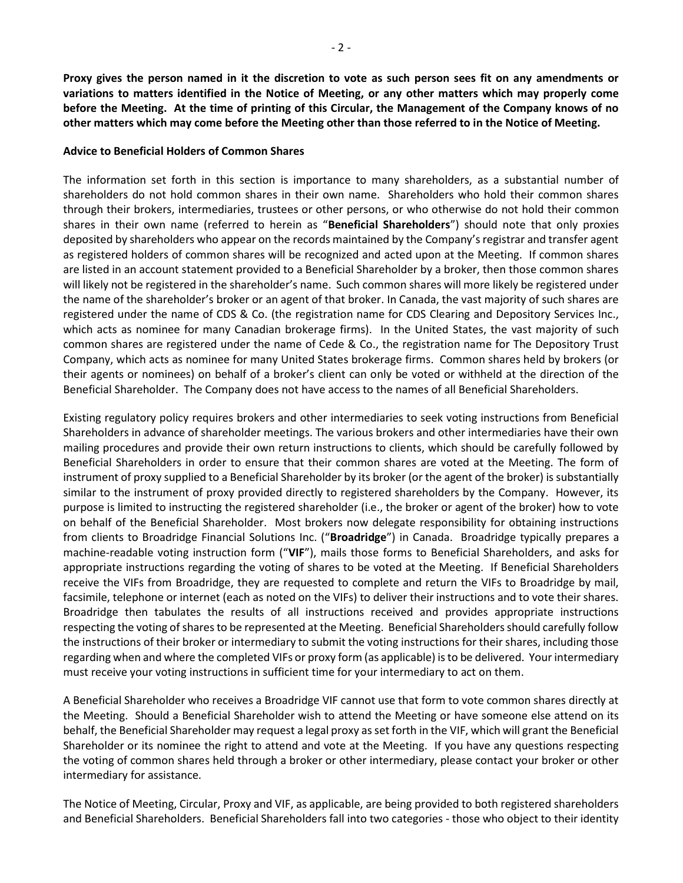Proxy gives the person named in it the discretion to vote as such person sees fit on any amendments or variations to matters identified in the Notice of Meeting, or any other matters which may properly come before the Meeting. At the time of printing of this Circular, the Management of the Company knows of no other matters which may come before the Meeting other than those referred to in the Notice of Meeting.

### Advice to Beneficial Holders of Common Shares

The information set forth in this section is importance to many shareholders, as a substantial number of shareholders do not hold common shares in their own name. Shareholders who hold their common shares through their brokers, intermediaries, trustees or other persons, or who otherwise do not hold their common shares in their own name (referred to herein as "Beneficial Shareholders") should note that only proxies deposited by shareholders who appear on the records maintained by the Company's registrar and transfer agent as registered holders of common shares will be recognized and acted upon at the Meeting. If common shares are listed in an account statement provided to a Beneficial Shareholder by a broker, then those common shares will likely not be registered in the shareholder's name. Such common shares will more likely be registered under the name of the shareholder's broker or an agent of that broker. In Canada, the vast majority of such shares are registered under the name of CDS & Co. (the registration name for CDS Clearing and Depository Services Inc., which acts as nominee for many Canadian brokerage firms). In the United States, the vast majority of such common shares are registered under the name of Cede & Co., the registration name for The Depository Trust Company, which acts as nominee for many United States brokerage firms. Common shares held by brokers (or their agents or nominees) on behalf of a broker's client can only be voted or withheld at the direction of the Beneficial Shareholder. The Company does not have access to the names of all Beneficial Shareholders.

Existing regulatory policy requires brokers and other intermediaries to seek voting instructions from Beneficial Shareholders in advance of shareholder meetings. The various brokers and other intermediaries have their own mailing procedures and provide their own return instructions to clients, which should be carefully followed by Beneficial Shareholders in order to ensure that their common shares are voted at the Meeting. The form of instrument of proxy supplied to a Beneficial Shareholder by its broker (or the agent of the broker) is substantially similar to the instrument of proxy provided directly to registered shareholders by the Company. However, its purpose is limited to instructing the registered shareholder (i.e., the broker or agent of the broker) how to vote on behalf of the Beneficial Shareholder. Most brokers now delegate responsibility for obtaining instructions from clients to Broadridge Financial Solutions Inc. ("**Broadridge**") in Canada. Broadridge typically prepares a machine-readable voting instruction form ("VIF"), mails those forms to Beneficial Shareholders, and asks for appropriate instructions regarding the voting of shares to be voted at the Meeting. If Beneficial Shareholders receive the VIFs from Broadridge, they are requested to complete and return the VIFs to Broadridge by mail, facsimile, telephone or internet (each as noted on the VIFs) to deliver their instructions and to vote their shares. Broadridge then tabulates the results of all instructions received and provides appropriate instructions respecting the voting of shares to be represented at the Meeting. Beneficial Shareholders should carefully follow the instructions of their broker or intermediary to submit the voting instructions for their shares, including those regarding when and where the completed VIFs or proxy form (as applicable) is to be delivered. Your intermediary must receive your voting instructions in sufficient time for your intermediary to act on them.

A Beneficial Shareholder who receives a Broadridge VIF cannot use that form to vote common shares directly at the Meeting. Should a Beneficial Shareholder wish to attend the Meeting or have someone else attend on its behalf, the Beneficial Shareholder may request a legal proxy as set forth in the VIF, which will grant the Beneficial Shareholder or its nominee the right to attend and vote at the Meeting. If you have any questions respecting the voting of common shares held through a broker or other intermediary, please contact your broker or other intermediary for assistance.

The Notice of Meeting, Circular, Proxy and VIF, as applicable, are being provided to both registered shareholders and Beneficial Shareholders. Beneficial Shareholders fall into two categories - those who object to their identity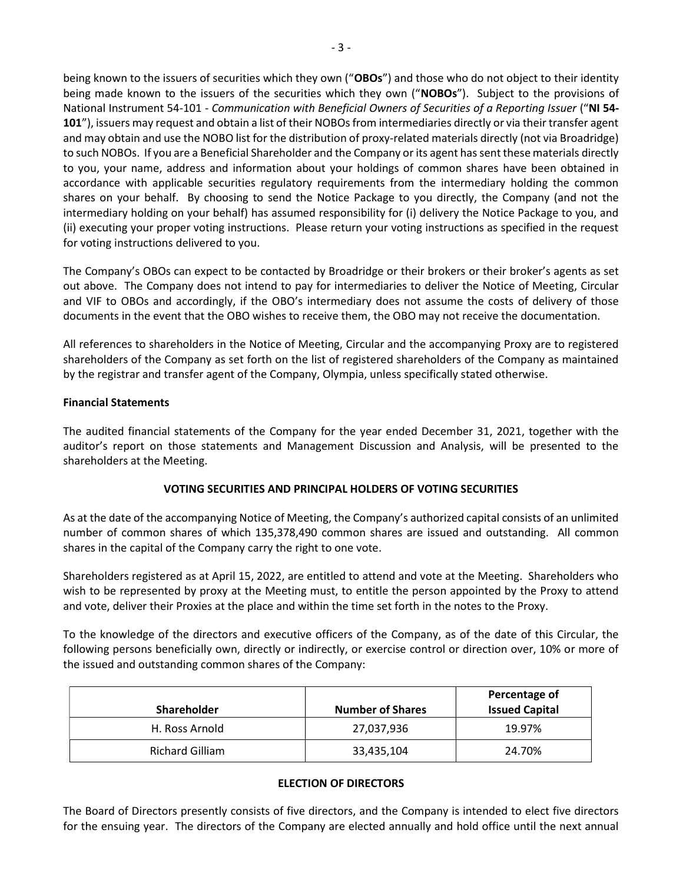being known to the issuers of securities which they own ("OBOs") and those who do not object to their identity being made known to the issuers of the securities which they own ("NOBOs"). Subject to the provisions of National Instrument 54-101 - Communication with Beneficial Owners of Securities of a Reporting Issuer ("NI 54- 101"), issuers may request and obtain a list of their NOBOs from intermediaries directly or via their transfer agent and may obtain and use the NOBO list for the distribution of proxy-related materials directly (not via Broadridge) to such NOBOs. If you are a Beneficial Shareholder and the Company or its agent has sent these materials directly to you, your name, address and information about your holdings of common shares have been obtained in accordance with applicable securities regulatory requirements from the intermediary holding the common shares on your behalf. By choosing to send the Notice Package to you directly, the Company (and not the intermediary holding on your behalf) has assumed responsibility for (i) delivery the Notice Package to you, and (ii) executing your proper voting instructions. Please return your voting instructions as specified in the request for voting instructions delivered to you.

The Company's OBOs can expect to be contacted by Broadridge or their brokers or their broker's agents as set out above. The Company does not intend to pay for intermediaries to deliver the Notice of Meeting, Circular and VIF to OBOs and accordingly, if the OBO's intermediary does not assume the costs of delivery of those documents in the event that the OBO wishes to receive them, the OBO may not receive the documentation.

All references to shareholders in the Notice of Meeting, Circular and the accompanying Proxy are to registered shareholders of the Company as set forth on the list of registered shareholders of the Company as maintained by the registrar and transfer agent of the Company, Olympia, unless specifically stated otherwise.

# Financial Statements

The audited financial statements of the Company for the year ended December 31, 2021, together with the auditor's report on those statements and Management Discussion and Analysis, will be presented to the shareholders at the Meeting.

# VOTING SECURITIES AND PRINCIPAL HOLDERS OF VOTING SECURITIES

As at the date of the accompanying Notice of Meeting, the Company's authorized capital consists of an unlimited number of common shares of which 135,378,490 common shares are issued and outstanding. All common shares in the capital of the Company carry the right to one vote.

Shareholders registered as at April 15, 2022, are entitled to attend and vote at the Meeting. Shareholders who wish to be represented by proxy at the Meeting must, to entitle the person appointed by the Proxy to attend and vote, deliver their Proxies at the place and within the time set forth in the notes to the Proxy.

To the knowledge of the directors and executive officers of the Company, as of the date of this Circular, the following persons beneficially own, directly or indirectly, or exercise control or direction over, 10% or more of the issued and outstanding common shares of the Company:

| <b>Shareholder</b>     | <b>Number of Shares</b> | Percentage of<br><b>Issued Capital</b> |
|------------------------|-------------------------|----------------------------------------|
| H. Ross Arnold         | 27,037,936              | 19.97%                                 |
| <b>Richard Gilliam</b> | 33,435,104              | 24.70%                                 |

# ELECTION OF DIRECTORS

The Board of Directors presently consists of five directors, and the Company is intended to elect five directors for the ensuing year. The directors of the Company are elected annually and hold office until the next annual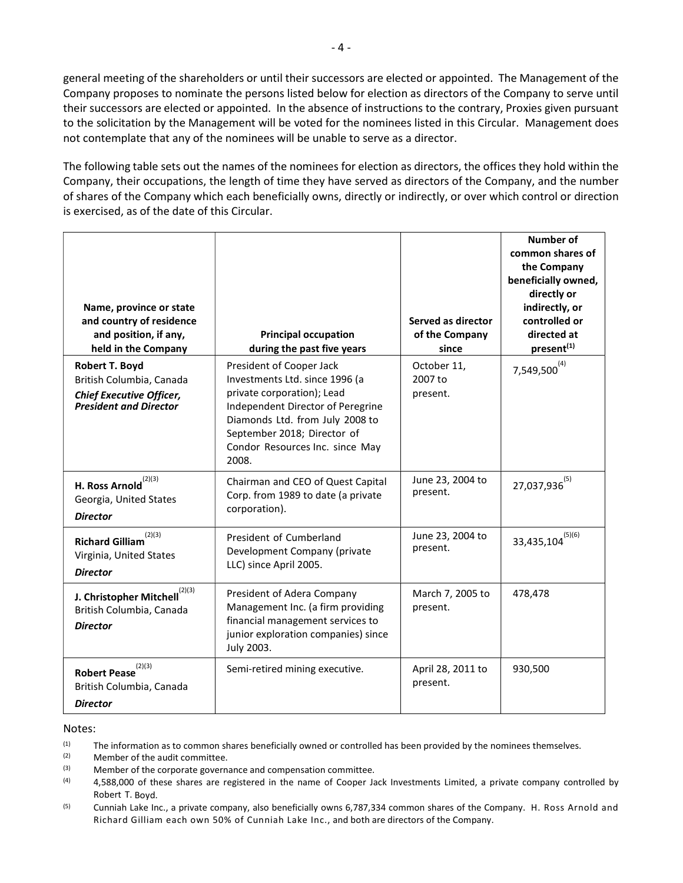general meeting of the shareholders or until their successors are elected or appointed. The Management of the Company proposes to nominate the persons listed below for election as directors of the Company to serve until their successors are elected or appointed. In the absence of instructions to the contrary, Proxies given pursuant to the solicitation by the Management will be voted for the nominees listed in this Circular. Management does not contemplate that any of the nominees will be unable to serve as a director.

The following table sets out the names of the nominees for election as directors, the offices they hold within the Company, their occupations, the length of time they have served as directors of the Company, and the number of shares of the Company which each beneficially owns, directly or indirectly, or over which control or direction is exercised, as of the date of this Circular.

| Name, province or state<br>and country of residence<br>and position, if any,<br>held in the Company                   | <b>Principal occupation</b><br>during the past five years                                                                                                                                                                                   | Served as director<br>of the Company<br>since | Number of<br>common shares of<br>the Company<br>beneficially owned,<br>directly or<br>indirectly, or<br>controlled or<br>directed at<br>present <sup>(1)</sup> |
|-----------------------------------------------------------------------------------------------------------------------|---------------------------------------------------------------------------------------------------------------------------------------------------------------------------------------------------------------------------------------------|-----------------------------------------------|----------------------------------------------------------------------------------------------------------------------------------------------------------------|
| <b>Robert T. Boyd</b><br>British Columbia, Canada<br><b>Chief Executive Officer,</b><br><b>President and Director</b> | President of Cooper Jack<br>Investments Ltd. since 1996 (a<br>private corporation); Lead<br>Independent Director of Peregrine<br>Diamonds Ltd. from July 2008 to<br>September 2018; Director of<br>Condor Resources Inc. since May<br>2008. | October 11,<br>2007 to<br>present.            | $7,549,500^{(4)}$                                                                                                                                              |
| H. Ross Arnold $^{(2)(3)}$<br>Georgia, United States<br><b>Director</b>                                               | Chairman and CEO of Quest Capital<br>Corp. from 1989 to date (a private<br>corporation).                                                                                                                                                    | June 23, 2004 to<br>present.                  | $27,037,936^{(5)}$                                                                                                                                             |
| (2)(3)<br><b>Richard Gilliam</b><br>Virginia, United States<br><b>Director</b>                                        | President of Cumberland<br>Development Company (private<br>LLC) since April 2005.                                                                                                                                                           | June 23, 2004 to<br>present.                  | $33,435,104^{(5)(6)}$                                                                                                                                          |
| (2)(3)<br>J. Christopher Mitchell<br>British Columbia, Canada<br><b>Director</b>                                      | President of Adera Company<br>Management Inc. (a firm providing<br>financial management services to<br>junior exploration companies) since<br>July 2003.                                                                                    | March 7, 2005 to<br>present.                  | 478,478                                                                                                                                                        |
| (2)(3)<br><b>Robert Pease</b><br>British Columbia, Canada<br><b>Director</b>                                          | Semi-retired mining executive.                                                                                                                                                                                                              | April 28, 2011 to<br>present.                 | 930,500                                                                                                                                                        |

#### Notes:

- $(1)$  The information as to common shares beneficially owned or controlled has been provided by the nominees themselves.
- (2) Member of the audit committee.
- (3) Member of the corporate governance and compensation committee.
- $(4)$  4,588,000 of these shares are registered in the name of Cooper Jack Investments Limited, a private company controlled by Robert T. Boyd.
- (5) Cunniah Lake Inc., a private company, also beneficially owns 6,787,334 common shares of the Company. H. Ross Arnold and Richard Gilliam each own 50% of Cunniah Lake Inc., and both are directors of the Company.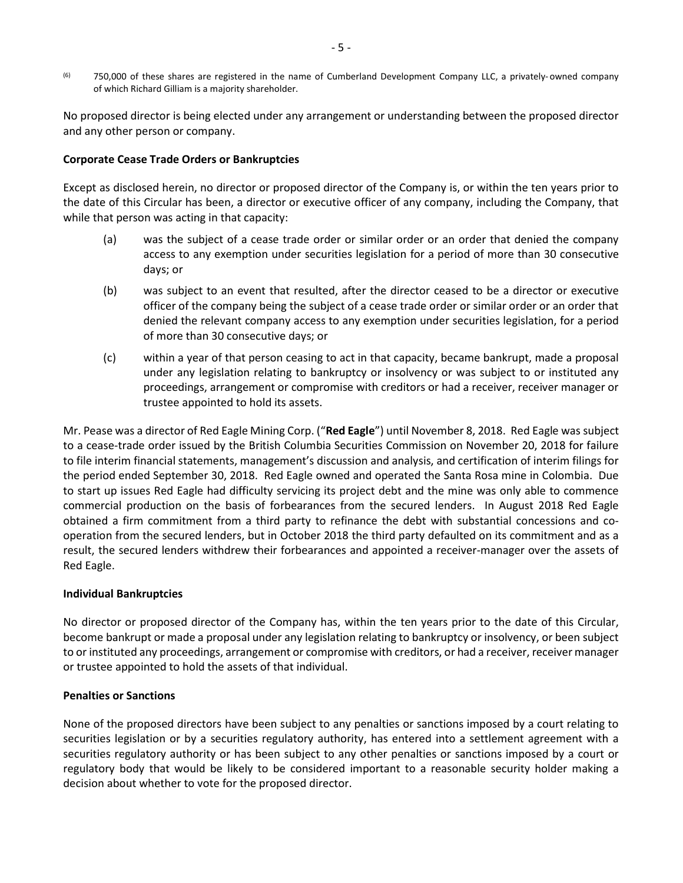$(6)$  750,000 of these shares are registered in the name of Cumberland Development Company LLC, a privately-owned company of which Richard Gilliam is a majority shareholder.

No proposed director is being elected under any arrangement or understanding between the proposed director and any other person or company.

## Corporate Cease Trade Orders or Bankruptcies

Except as disclosed herein, no director or proposed director of the Company is, or within the ten years prior to the date of this Circular has been, a director or executive officer of any company, including the Company, that while that person was acting in that capacity:

- (a) was the subject of a cease trade order or similar order or an order that denied the company access to any exemption under securities legislation for a period of more than 30 consecutive days; or
- (b) was subject to an event that resulted, after the director ceased to be a director or executive officer of the company being the subject of a cease trade order or similar order or an order that denied the relevant company access to any exemption under securities legislation, for a period of more than 30 consecutive days; or
- (c) within a year of that person ceasing to act in that capacity, became bankrupt, made a proposal under any legislation relating to bankruptcy or insolvency or was subject to or instituted any proceedings, arrangement or compromise with creditors or had a receiver, receiver manager or trustee appointed to hold its assets.

Mr. Pease was a director of Red Eagle Mining Corp. ("Red Eagle") until November 8, 2018. Red Eagle was subject to a cease-trade order issued by the British Columbia Securities Commission on November 20, 2018 for failure to file interim financial statements, management's discussion and analysis, and certification of interim filings for the period ended September 30, 2018. Red Eagle owned and operated the Santa Rosa mine in Colombia. Due to start up issues Red Eagle had difficulty servicing its project debt and the mine was only able to commence commercial production on the basis of forbearances from the secured lenders. In August 2018 Red Eagle obtained a firm commitment from a third party to refinance the debt with substantial concessions and cooperation from the secured lenders, but in October 2018 the third party defaulted on its commitment and as a result, the secured lenders withdrew their forbearances and appointed a receiver-manager over the assets of Red Eagle.

### Individual Bankruptcies

No director or proposed director of the Company has, within the ten years prior to the date of this Circular, become bankrupt or made a proposal under any legislation relating to bankruptcy or insolvency, or been subject to or instituted any proceedings, arrangement or compromise with creditors, or had a receiver, receiver manager or trustee appointed to hold the assets of that individual.

### Penalties or Sanctions

None of the proposed directors have been subject to any penalties or sanctions imposed by a court relating to securities legislation or by a securities regulatory authority, has entered into a settlement agreement with a securities regulatory authority or has been subject to any other penalties or sanctions imposed by a court or regulatory body that would be likely to be considered important to a reasonable security holder making a decision about whether to vote for the proposed director.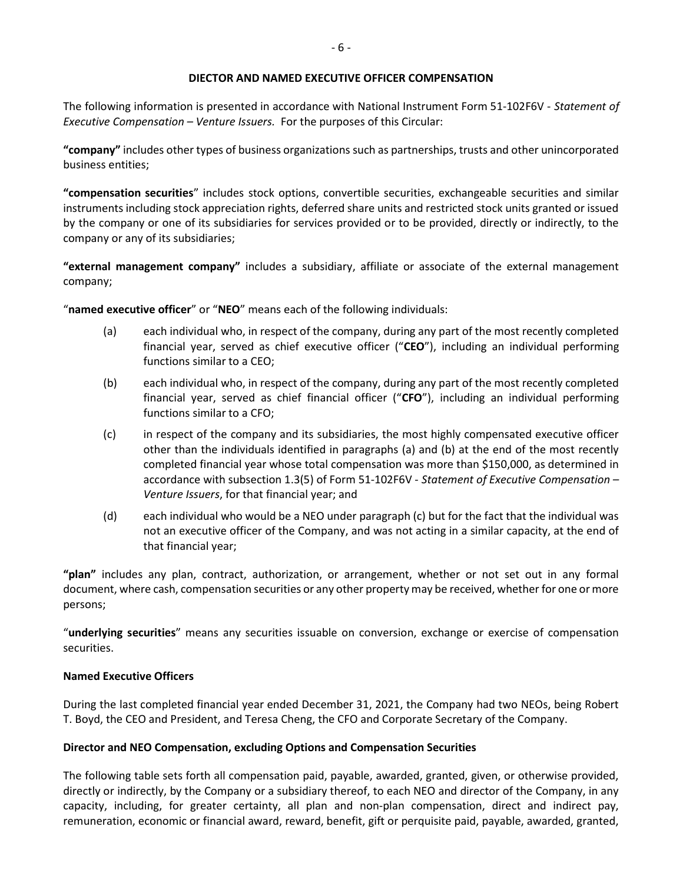### DIECTOR AND NAMED EXECUTIVE OFFICER COMPENSATION

The following information is presented in accordance with National Instrument Form 51-102F6V - Statement of Executive Compensation – Venture Issuers. For the purposes of this Circular:

"company" includes other types of business organizations such as partnerships, trusts and other unincorporated business entities;

"compensation securities" includes stock options, convertible securities, exchangeable securities and similar instruments including stock appreciation rights, deferred share units and restricted stock units granted or issued by the company or one of its subsidiaries for services provided or to be provided, directly or indirectly, to the company or any of its subsidiaries;

"external management company" includes a subsidiary, affiliate or associate of the external management company;

"named executive officer" or "NEO" means each of the following individuals:

- (a) each individual who, in respect of the company, during any part of the most recently completed financial year, served as chief executive officer ("CEO"), including an individual performing functions similar to a CEO;
- (b) each individual who, in respect of the company, during any part of the most recently completed financial year, served as chief financial officer ("CFO"), including an individual performing functions similar to a CFO;
- (c) in respect of the company and its subsidiaries, the most highly compensated executive officer other than the individuals identified in paragraphs (a) and (b) at the end of the most recently completed financial year whose total compensation was more than \$150,000, as determined in accordance with subsection 1.3(5) of Form 51-102F6V - Statement of Executive Compensation – Venture Issuers, for that financial year; and
- (d) each individual who would be a NEO under paragraph (c) but for the fact that the individual was not an executive officer of the Company, and was not acting in a similar capacity, at the end of that financial year;

"plan" includes any plan, contract, authorization, or arrangement, whether or not set out in any formal document, where cash, compensation securities or any other property may be received, whether for one or more persons;

"underlying securities" means any securities issuable on conversion, exchange or exercise of compensation securities.

### Named Executive Officers

During the last completed financial year ended December 31, 2021, the Company had two NEOs, being Robert T. Boyd, the CEO and President, and Teresa Cheng, the CFO and Corporate Secretary of the Company.

# Director and NEO Compensation, excluding Options and Compensation Securities

The following table sets forth all compensation paid, payable, awarded, granted, given, or otherwise provided, directly or indirectly, by the Company or a subsidiary thereof, to each NEO and director of the Company, in any capacity, including, for greater certainty, all plan and non-plan compensation, direct and indirect pay, remuneration, economic or financial award, reward, benefit, gift or perquisite paid, payable, awarded, granted,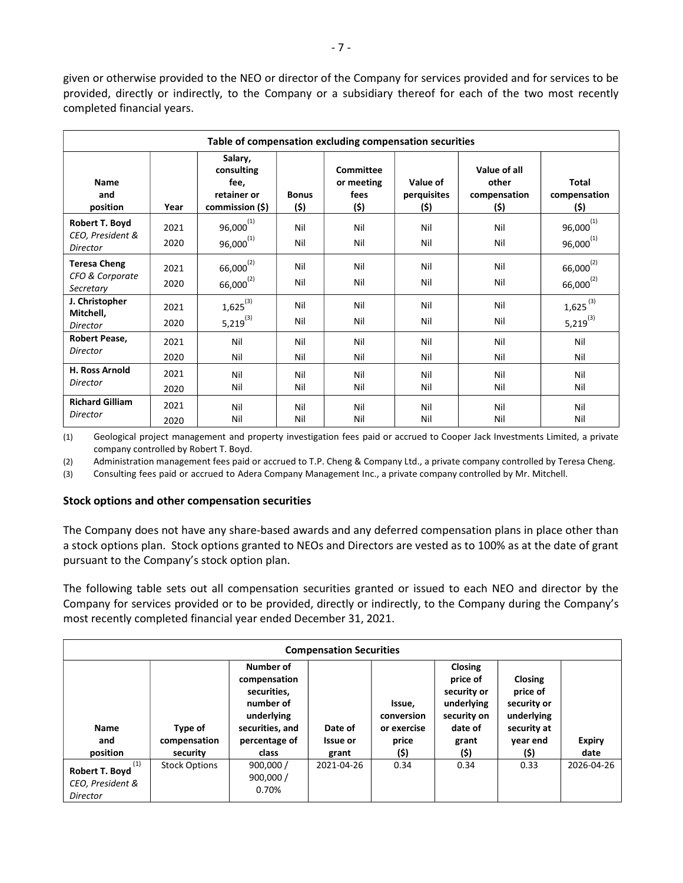given or otherwise provided to the NEO or director of the Company for services provided and for services to be provided, directly or indirectly, to the Company or a subsidiary thereof for each of the two most recently completed financial years.

|                                                       | Table of compensation excluding compensation securities |                                                                 |                      |                                         |                                 |                                               |                                         |
|-------------------------------------------------------|---------------------------------------------------------|-----------------------------------------------------------------|----------------------|-----------------------------------------|---------------------------------|-----------------------------------------------|-----------------------------------------|
| Name<br>and<br>position                               | Year                                                    | Salary,<br>consulting<br>fee,<br>retainer or<br>commission (\$) | <b>Bonus</b><br>(\$) | Committee<br>or meeting<br>fees<br>(\$) | Value of<br>perquisites<br>(\$) | Value of all<br>other<br>compensation<br>(\$) | Total<br>compensation<br>(\$)           |
| Robert T. Boyd<br>CEO, President &<br><b>Director</b> | 2021<br>2020                                            | $96,000^{(1)}$<br>$96,000^{(1)}$                                | Nil<br>Nil           | Nil<br>Nil                              | Nil<br>Nil                      | Nil<br>Nil                                    | $96,000^{(1)}$<br>$96,000^{(1)}$        |
| <b>Teresa Cheng</b><br>CFO & Corporate<br>Secretary   | 2021<br>2020                                            | $66,000^{(2)}$<br>$66,000^{(2)}$                                | Nil<br>Nil           | Nil<br>Nil                              | Nil<br>Nil                      | Nil<br>Nil                                    | $66,000^{(2)}$<br>$66,000^{(2)}$        |
| J. Christopher<br>Mitchell,<br><b>Director</b>        | 2021<br>2020                                            | $1,625^{(3)}$<br>$5,219^{(3)}$                                  | Nil<br>Nil           | Nil<br>Nil                              | Nil<br>Nil                      | Nil<br>Nil                                    | $1,625$ <sup>(3)</sup><br>$5,219^{(3)}$ |
| Robert Pease,<br>Director                             | 2021<br>2020                                            | Nil<br>Nil                                                      | Nil<br>Nil           | Nil<br>Nil                              | Nil<br>Nil                      | Nil<br>Nil                                    | Nil<br>Nil                              |
| <b>H. Ross Arnold</b><br>Director                     | 2021<br>2020                                            | Nil<br>Nil                                                      | Nil<br>Nil           | Nil<br>Nil                              | Nil<br>Nil                      | Nil<br>Nil                                    | Nil<br>Nil                              |
| <b>Richard Gilliam</b><br>Director                    | 2021<br>2020                                            | Nil<br>Nil                                                      | Nil<br>Nil           | Nil<br>Nil                              | Nil<br>Nil                      | Nil<br>Nil                                    | Nil<br>Nil                              |

(1) Geological project management and property investigation fees paid or accrued to Cooper Jack Investments Limited, a private company controlled by Robert T. Boyd.

(2) Administration management fees paid or accrued to T.P. Cheng & Company Ltd., a private company controlled by Teresa Cheng.

(3) Consulting fees paid or accrued to Adera Company Management Inc., a private company controlled by Mr. Mitchell.

### Stock options and other compensation securities

The Company does not have any share-based awards and any deferred compensation plans in place other than a stock options plan. Stock options granted to NEOs and Directors are vested as to 100% as at the date of grant pursuant to the Company's stock option plan.

The following table sets out all compensation securities granted or issued to each NEO and director by the Company for services provided or to be provided, directly or indirectly, to the Company during the Company's most recently completed financial year ended December 31, 2021.

|                                                              |                                     |                                                                                                                  | <b>Compensation Securities</b>      |                                                      |                                                                                                    |                                                                                     |                       |
|--------------------------------------------------------------|-------------------------------------|------------------------------------------------------------------------------------------------------------------|-------------------------------------|------------------------------------------------------|----------------------------------------------------------------------------------------------------|-------------------------------------------------------------------------------------|-----------------------|
| <b>Name</b><br>and<br>position                               | Type of<br>compensation<br>security | Number of<br>compensation<br>securities,<br>number of<br>underlying<br>securities, and<br>percentage of<br>class | Date of<br><b>Issue or</b><br>grant | Issue,<br>conversion<br>or exercise<br>price<br>(\$) | <b>Closing</b><br>price of<br>security or<br>underlying<br>security on<br>date of<br>grant<br>(\$) | Closing<br>price of<br>security or<br>underlying<br>security at<br>year end<br>(\$) | <b>Expiry</b><br>date |
| (1)<br><b>Robert T. Boyd</b><br>CEO, President &<br>Director | <b>Stock Options</b>                | 900,000/<br>900,000/<br>0.70%                                                                                    | 2021-04-26                          | 0.34                                                 | 0.34                                                                                               | 0.33                                                                                | 2026-04-26            |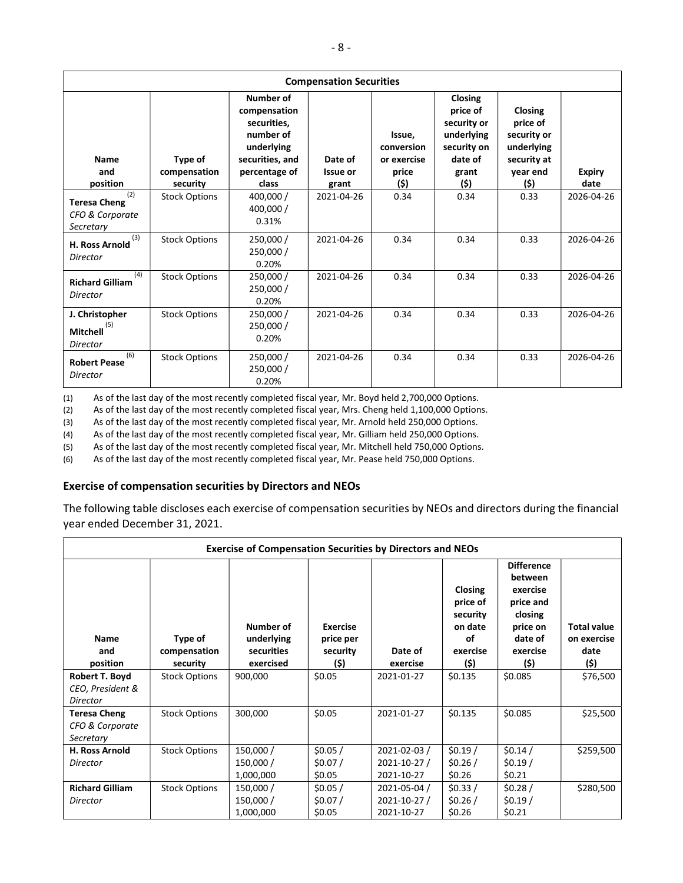| <b>Compensation Securities</b>                             |                                     |                                                                                                                         |                              |                                                      |                                                                                                    |                                                                                     |                       |
|------------------------------------------------------------|-------------------------------------|-------------------------------------------------------------------------------------------------------------------------|------------------------------|------------------------------------------------------|----------------------------------------------------------------------------------------------------|-------------------------------------------------------------------------------------|-----------------------|
| Name<br>and<br>position                                    | Type of<br>compensation<br>security | <b>Number of</b><br>compensation<br>securities,<br>number of<br>underlying<br>securities, and<br>percentage of<br>class | Date of<br>Issue or<br>grant | Issue.<br>conversion<br>or exercise<br>price<br>(\$) | <b>Closing</b><br>price of<br>security or<br>underlying<br>security on<br>date of<br>grant<br>(\$) | Closing<br>price of<br>security or<br>underlying<br>security at<br>year end<br>(\$) | <b>Expiry</b><br>date |
| (2)<br><b>Teresa Cheng</b><br>CFO & Corporate<br>Secretary | <b>Stock Options</b>                | 400,000 /<br>400,000 /<br>0.31%                                                                                         | 2021-04-26                   | 0.34                                                 | 0.34                                                                                               | 0.33                                                                                | 2026-04-26            |
| (3)<br><b>H. Ross Arnold</b><br>Director                   | <b>Stock Options</b>                | 250,000 /<br>250,000 /<br>0.20%                                                                                         | 2021-04-26                   | 0.34                                                 | 0.34                                                                                               | 0.33                                                                                | 2026-04-26            |
| (4)<br><b>Richard Gilliam</b><br>Director                  | <b>Stock Options</b>                | 250,000 /<br>250,000 /<br>0.20%                                                                                         | 2021-04-26                   | 0.34                                                 | 0.34                                                                                               | 0.33                                                                                | 2026-04-26            |
| J. Christopher<br>(5)<br>Mitchell<br><b>Director</b>       | <b>Stock Options</b>                | 250,000 /<br>250,000 /<br>0.20%                                                                                         | 2021-04-26                   | 0.34                                                 | 0.34                                                                                               | 0.33                                                                                | 2026-04-26            |
| (6)<br><b>Robert Pease</b><br>Director                     | <b>Stock Options</b>                | 250,000 /<br>250,000 /<br>0.20%                                                                                         | 2021-04-26                   | 0.34                                                 | 0.34                                                                                               | 0.33                                                                                | 2026-04-26            |

(1) As of the last day of the most recently completed fiscal year, Mr. Boyd held 2,700,000 Options.

(2) As of the last day of the most recently completed fiscal year, Mrs. Cheng held 1,100,000 Options.

(3) As of the last day of the most recently completed fiscal year, Mr. Arnold held 250,000 Options.

(4) As of the last day of the most recently completed fiscal year, Mr. Gilliam held 250,000 Options.

(5) As of the last day of the most recently completed fiscal year, Mr. Mitchell held 750,000 Options.

(6) As of the last day of the most recently completed fiscal year, Mr. Pease held 750,000 Options.

## Exercise of compensation securities by Directors and NEOs

The following table discloses each exercise of compensation securities by NEOs and directors during the financial year ended December 31, 2021.

|                                                     | <b>Exercise of Compensation Securities by Directors and NEOs</b> |                                                    |                                                  |                                            |                                                                      |                                                                                                             |                                                   |
|-----------------------------------------------------|------------------------------------------------------------------|----------------------------------------------------|--------------------------------------------------|--------------------------------------------|----------------------------------------------------------------------|-------------------------------------------------------------------------------------------------------------|---------------------------------------------------|
| Name<br>and<br>position                             | Type of<br>compensation<br>security                              | Number of<br>underlying<br>securities<br>exercised | <b>Exercise</b><br>price per<br>security<br>(\$) | Date of<br>exercise                        | Closing<br>price of<br>security<br>on date<br>οf<br>exercise<br>(\$) | <b>Difference</b><br>between<br>exercise<br>price and<br>closing<br>price on<br>date of<br>exercise<br>(\$) | <b>Total value</b><br>on exercise<br>date<br>(\$) |
| Robert T. Boyd<br>CEO, President &<br>Director      | <b>Stock Options</b>                                             | 900,000                                            | \$0.05                                           | 2021-01-27                                 | \$0.135                                                              | \$0.085                                                                                                     | \$76,500                                          |
| <b>Teresa Cheng</b><br>CFO & Corporate<br>Secretary | <b>Stock Options</b>                                             | 300,000                                            | \$0.05                                           | 2021-01-27                                 | \$0.135                                                              | \$0.085                                                                                                     | \$25,500                                          |
| <b>H. Ross Arnold</b><br>Director                   | <b>Stock Options</b>                                             | 150,000 /<br>150,000 /<br>1,000,000                | \$0.05/<br>\$0.07/<br>\$0.05                     | 2021-02-03 /<br>2021-10-27 /<br>2021-10-27 | \$0.19/<br>\$0.26/<br>\$0.26                                         | \$0.14/<br>\$0.19/<br>\$0.21                                                                                | \$259,500                                         |
| <b>Richard Gilliam</b><br>Director                  | <b>Stock Options</b>                                             | 150,000 /<br>150,000 /<br>1,000,000                | \$0.05/<br>\$0.07/<br>\$0.05                     | 2021-05-04 /<br>2021-10-27 /<br>2021-10-27 | \$0.33/<br>\$0.26/<br>\$0.26                                         | \$0.28/<br>\$0.19/<br>\$0.21                                                                                | \$280,500                                         |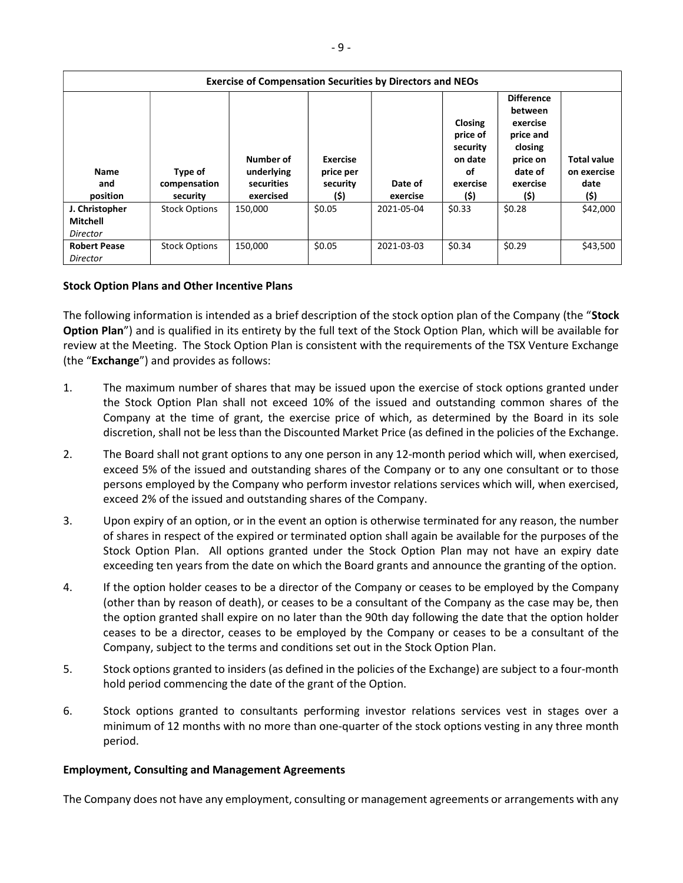|                                               | <b>Exercise of Compensation Securities by Directors and NEOs</b> |                                                    |                                           |                     |                                                                             |                                                                                                             |                                                   |
|-----------------------------------------------|------------------------------------------------------------------|----------------------------------------------------|-------------------------------------------|---------------------|-----------------------------------------------------------------------------|-------------------------------------------------------------------------------------------------------------|---------------------------------------------------|
| <b>Name</b><br>and<br>position                | Type of<br>compensation<br>security                              | Number of<br>underlying<br>securities<br>exercised | Exercise<br>price per<br>security<br>(\$) | Date of<br>exercise | <b>Closing</b><br>price of<br>security<br>on date<br>οf<br>exercise<br>(\$) | <b>Difference</b><br>between<br>exercise<br>price and<br>closing<br>price on<br>date of<br>exercise<br>(\$) | <b>Total value</b><br>on exercise<br>date<br>(\$) |
| J. Christopher<br><b>Mitchell</b><br>Director | <b>Stock Options</b>                                             | 150.000                                            | \$0.05                                    | 2021-05-04          | \$0.33                                                                      | \$0.28                                                                                                      | \$42,000                                          |
| <b>Robert Pease</b><br>Director               | <b>Stock Options</b>                                             | 150,000                                            | \$0.05                                    | 2021-03-03          | \$0.34                                                                      | \$0.29                                                                                                      | \$43,500                                          |

# Stock Option Plans and Other Incentive Plans

The following information is intended as a brief description of the stock option plan of the Company (the "Stock Option Plan") and is qualified in its entirety by the full text of the Stock Option Plan, which will be available for review at the Meeting. The Stock Option Plan is consistent with the requirements of the TSX Venture Exchange (the "Exchange") and provides as follows:

- 1. The maximum number of shares that may be issued upon the exercise of stock options granted under the Stock Option Plan shall not exceed 10% of the issued and outstanding common shares of the Company at the time of grant, the exercise price of which, as determined by the Board in its sole discretion, shall not be less than the Discounted Market Price (as defined in the policies of the Exchange.
- 2. The Board shall not grant options to any one person in any 12-month period which will, when exercised, exceed 5% of the issued and outstanding shares of the Company or to any one consultant or to those persons employed by the Company who perform investor relations services which will, when exercised, exceed 2% of the issued and outstanding shares of the Company.
- 3. Upon expiry of an option, or in the event an option is otherwise terminated for any reason, the number of shares in respect of the expired or terminated option shall again be available for the purposes of the Stock Option Plan. All options granted under the Stock Option Plan may not have an expiry date exceeding ten years from the date on which the Board grants and announce the granting of the option.
- 4. If the option holder ceases to be a director of the Company or ceases to be employed by the Company (other than by reason of death), or ceases to be a consultant of the Company as the case may be, then the option granted shall expire on no later than the 90th day following the date that the option holder ceases to be a director, ceases to be employed by the Company or ceases to be a consultant of the Company, subject to the terms and conditions set out in the Stock Option Plan.
- 5. Stock options granted to insiders (as defined in the policies of the Exchange) are subject to a four-month hold period commencing the date of the grant of the Option.
- 6. Stock options granted to consultants performing investor relations services vest in stages over a minimum of 12 months with no more than one-quarter of the stock options vesting in any three month period.

### Employment, Consulting and Management Agreements

The Company does not have any employment, consulting or management agreements or arrangements with any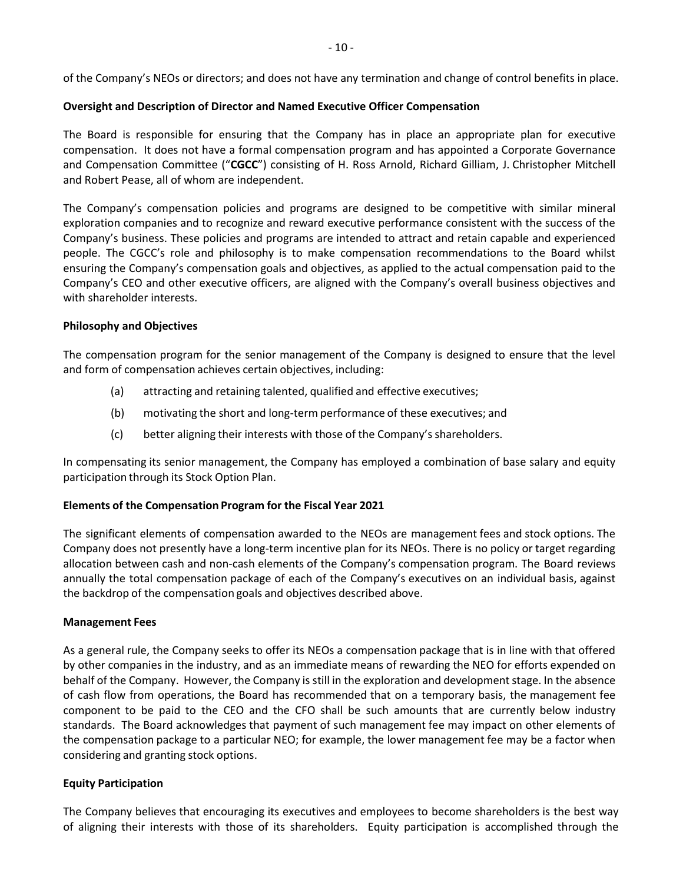of the Company's NEOs or directors; and does not have any termination and change of control benefits in place.

## Oversight and Description of Director and Named Executive Officer Compensation

The Board is responsible for ensuring that the Company has in place an appropriate plan for executive compensation. It does not have a formal compensation program and has appointed a Corporate Governance and Compensation Committee ("CGCC") consisting of H. Ross Arnold, Richard Gilliam, J. Christopher Mitchell and Robert Pease, all of whom are independent.

The Company's compensation policies and programs are designed to be competitive with similar mineral exploration companies and to recognize and reward executive performance consistent with the success of the Company's business. These policies and programs are intended to attract and retain capable and experienced people. The CGCC's role and philosophy is to make compensation recommendations to the Board whilst ensuring the Company's compensation goals and objectives, as applied to the actual compensation paid to the Company's CEO and other executive officers, are aligned with the Company's overall business objectives and with shareholder interests.

## Philosophy and Objectives

The compensation program for the senior management of the Company is designed to ensure that the level and form of compensation achieves certain objectives, including:

- (a) attracting and retaining talented, qualified and effective executives;
- (b) motivating the short and long-term performance of these executives; and
- (c) better aligning their interests with those of the Company's shareholders.

In compensating its senior management, the Company has employed a combination of base salary and equity participation through its Stock Option Plan.

# Elements of the Compensation Program for the Fiscal Year 2021

The significant elements of compensation awarded to the NEOs are management fees and stock options. The Company does not presently have a long-term incentive plan for its NEOs. There is no policy or target regarding allocation between cash and non-cash elements of the Company's compensation program. The Board reviews annually the total compensation package of each of the Company's executives on an individual basis, against the backdrop of the compensation goals and objectives described above.

### Management Fees

As a general rule, the Company seeks to offer its NEOs a compensation package that is in line with that offered by other companies in the industry, and as an immediate means of rewarding the NEO for efforts expended on behalf of the Company. However, the Company is still in the exploration and development stage. In the absence of cash flow from operations, the Board has recommended that on a temporary basis, the management fee component to be paid to the CEO and the CFO shall be such amounts that are currently below industry standards. The Board acknowledges that payment of such management fee may impact on other elements of the compensation package to a particular NEO; for example, the lower management fee may be a factor when considering and granting stock options.

### Equity Participation

The Company believes that encouraging its executives and employees to become shareholders is the best way of aligning their interests with those of its shareholders. Equity participation is accomplished through the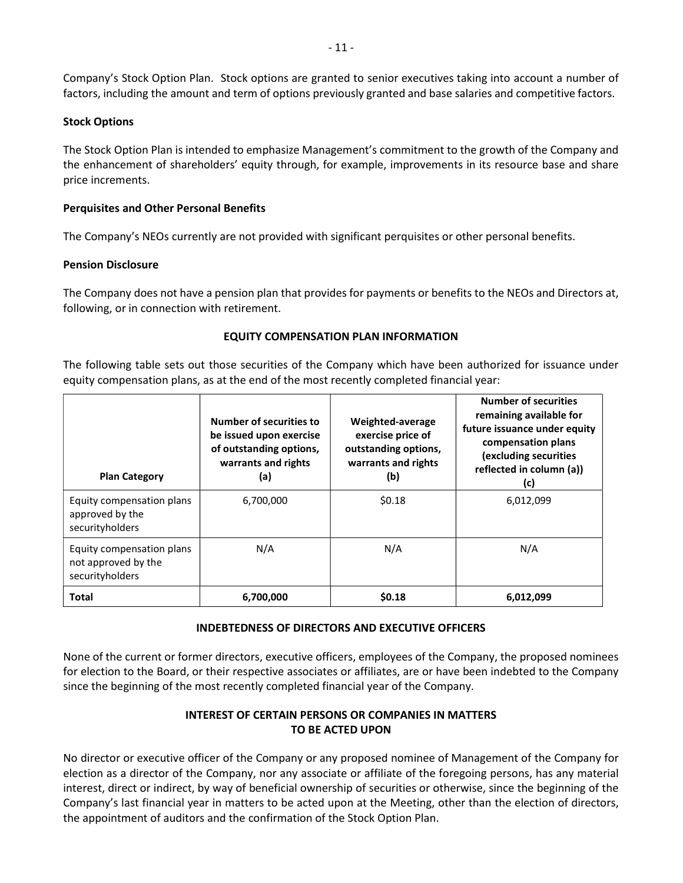Company's Stock Option Plan. Stock options are granted to senior executives taking into account a number of factors, including the amount and term of options previously granted and base salaries and competitive factors.

## Stock Options

The Stock Option Plan is intended to emphasize Management's commitment to the growth of the Company and the enhancement of shareholders' equity through, for example, improvements in its resource base and share price increments.

## Perquisites and Other Personal Benefits

The Company's NEOs currently are not provided with significant perquisites or other personal benefits.

### Pension Disclosure

The Company does not have a pension plan that provides for payments or benefits to the NEOs and Directors at, following, or in connection with retirement.

### EQUITY COMPENSATION PLAN INFORMATION

The following table sets out those securities of the Company which have been authorized for issuance under equity compensation plans, as at the end of the most recently completed financial year:

| <b>Plan Category</b>                                                | Number of securities to<br>be issued upon exercise<br>of outstanding options,<br>warrants and rights<br>(a) | Weighted-average<br>exercise price of<br>outstanding options,<br>warrants and rights<br>(b) | <b>Number of securities</b><br>remaining available for<br>future issuance under equity<br>compensation plans<br>(excluding securities<br>reflected in column (a))<br>(c) |
|---------------------------------------------------------------------|-------------------------------------------------------------------------------------------------------------|---------------------------------------------------------------------------------------------|--------------------------------------------------------------------------------------------------------------------------------------------------------------------------|
| Equity compensation plans<br>approved by the<br>securityholders     | 6,700,000                                                                                                   | \$0.18                                                                                      | 6,012,099                                                                                                                                                                |
| Equity compensation plans<br>not approved by the<br>securityholders | N/A                                                                                                         | N/A                                                                                         | N/A                                                                                                                                                                      |
| <b>Total</b>                                                        | 6,700,000                                                                                                   | \$0.18                                                                                      | 6,012,099                                                                                                                                                                |

# INDEBTEDNESS OF DIRECTORS AND EXECUTIVE OFFICERS

None of the current or former directors, executive officers, employees of the Company, the proposed nominees for election to the Board, or their respective associates or affiliates, are or have been indebted to the Company since the beginning of the most recently completed financial year of the Company.

# INTEREST OF CERTAIN PERSONS OR COMPANIES IN MATTERS TO BE ACTED UPON

No director or executive officer of the Company or any proposed nominee of Management of the Company for election as a director of the Company, nor any associate or affiliate of the foregoing persons, has any material interest, direct or indirect, by way of beneficial ownership of securities or otherwise, since the beginning of the Company's last financial year in matters to be acted upon at the Meeting, other than the election of directors, the appointment of auditors and the confirmation of the Stock Option Plan.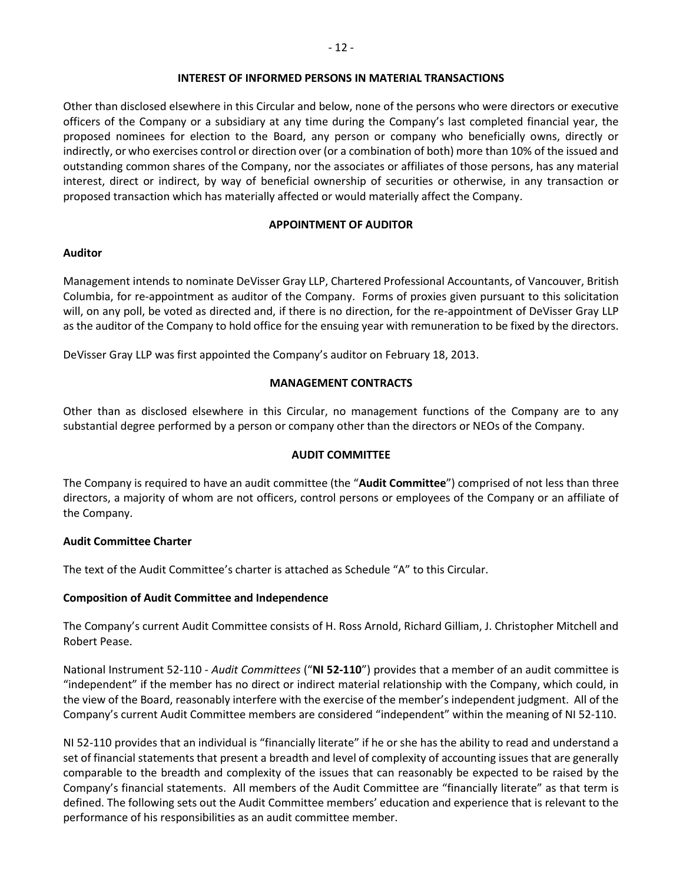### INTEREST OF INFORMED PERSONS IN MATERIAL TRANSACTIONS

Other than disclosed elsewhere in this Circular and below, none of the persons who were directors or executive officers of the Company or a subsidiary at any time during the Company's last completed financial year, the proposed nominees for election to the Board, any person or company who beneficially owns, directly or indirectly, or who exercises control or direction over (or a combination of both) more than 10% of the issued and outstanding common shares of the Company, nor the associates or affiliates of those persons, has any material interest, direct or indirect, by way of beneficial ownership of securities or otherwise, in any transaction or proposed transaction which has materially affected or would materially affect the Company.

# APPOINTMENT OF AUDITOR

# Auditor

Management intends to nominate DeVisser Gray LLP, Chartered Professional Accountants, of Vancouver, British Columbia, for re-appointment as auditor of the Company. Forms of proxies given pursuant to this solicitation will, on any poll, be voted as directed and, if there is no direction, for the re-appointment of DeVisser Gray LLP as the auditor of the Company to hold office for the ensuing year with remuneration to be fixed by the directors.

DeVisser Gray LLP was first appointed the Company's auditor on February 18, 2013.

# MANAGEMENT CONTRACTS

Other than as disclosed elsewhere in this Circular, no management functions of the Company are to any substantial degree performed by a person or company other than the directors or NEOs of the Company.

# AUDIT COMMITTEE

The Company is required to have an audit committee (the "Audit Committee") comprised of not less than three directors, a majority of whom are not officers, control persons or employees of the Company or an affiliate of the Company.

# Audit Committee Charter

The text of the Audit Committee's charter is attached as Schedule "A" to this Circular.

# Composition of Audit Committee and Independence

The Company's current Audit Committee consists of H. Ross Arnold, Richard Gilliam, J. Christopher Mitchell and Robert Pease.

National Instrument 52-110 - Audit Committees ("NI 52-110") provides that a member of an audit committee is "independent" if the member has no direct or indirect material relationship with the Company, which could, in the view of the Board, reasonably interfere with the exercise of the member's independent judgment. All of the Company's current Audit Committee members are considered "independent" within the meaning of NI 52-110.

NI 52-110 provides that an individual is "financially literate" if he or she has the ability to read and understand a set of financial statements that present a breadth and level of complexity of accounting issues that are generally comparable to the breadth and complexity of the issues that can reasonably be expected to be raised by the Company's financial statements. All members of the Audit Committee are "financially literate" as that term is defined. The following sets out the Audit Committee members' education and experience that is relevant to the performance of his responsibilities as an audit committee member.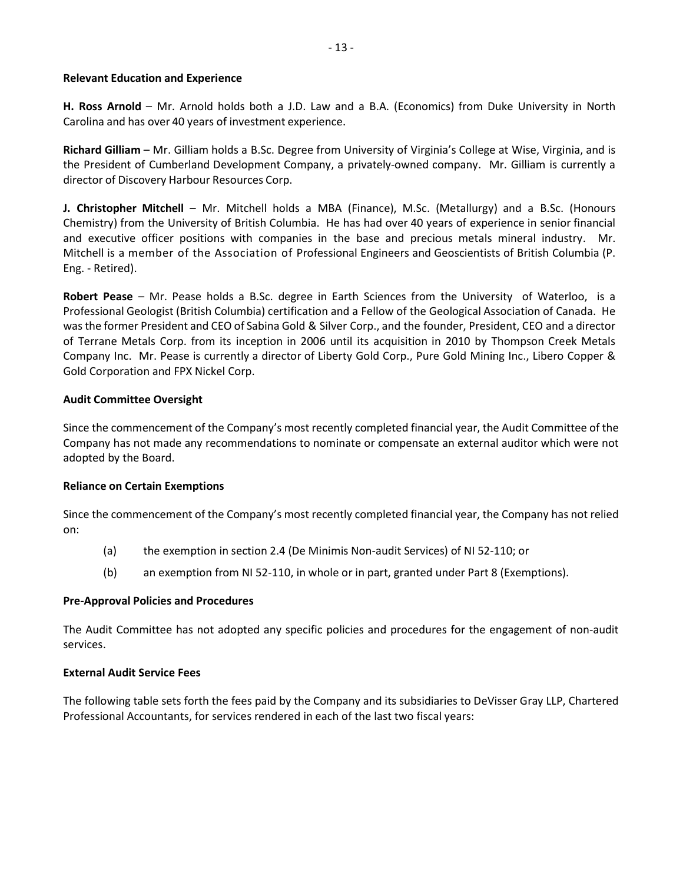### Relevant Education and Experience

H. Ross Arnold – Mr. Arnold holds both a J.D. Law and a B.A. (Economics) from Duke University in North Carolina and has over 40 years of investment experience.

Richard Gilliam – Mr. Gilliam holds a B.Sc. Degree from University of Virginia's College at Wise, Virginia, and is the President of Cumberland Development Company, a privately-owned company. Mr. Gilliam is currently a director of Discovery Harbour Resources Corp.

J. Christopher Mitchell – Mr. Mitchell holds a MBA (Finance), M.Sc. (Metallurgy) and a B.Sc. (Honours Chemistry) from the University of British Columbia. He has had over 40 years of experience in senior financial and executive officer positions with companies in the base and precious metals mineral industry. Mr. Mitchell is a member of the Association of Professional Engineers and Geoscientists of British Columbia (P. Eng. - Retired).

Robert Pease – Mr. Pease holds a B.Sc. degree in Earth Sciences from the University of Waterloo, is a Professional Geologist (British Columbia) certification and a Fellow of the Geological Association of Canada. He was the former President and CEO of Sabina Gold & Silver Corp., and the founder, President, CEO and a director of Terrane Metals Corp. from its inception in 2006 until its acquisition in 2010 by Thompson Creek Metals Company Inc. Mr. Pease is currently a director of Liberty Gold Corp., Pure Gold Mining Inc., Libero Copper & Gold Corporation and FPX Nickel Corp.

#### Audit Committee Oversight

Since the commencement of the Company's most recently completed financial year, the Audit Committee of the Company has not made any recommendations to nominate or compensate an external auditor which were not adopted by the Board.

### Reliance on Certain Exemptions

Since the commencement of the Company's most recently completed financial year, the Company has not relied on:

- (a) the exemption in section 2.4 (De Minimis Non-audit Services) of NI 52-110; or
- (b) an exemption from NI 52-110, in whole or in part, granted under Part 8 (Exemptions).

### Pre-Approval Policies and Procedures

The Audit Committee has not adopted any specific policies and procedures for the engagement of non-audit services.

#### External Audit Service Fees

The following table sets forth the fees paid by the Company and its subsidiaries to DeVisser Gray LLP, Chartered Professional Accountants, for services rendered in each of the last two fiscal years: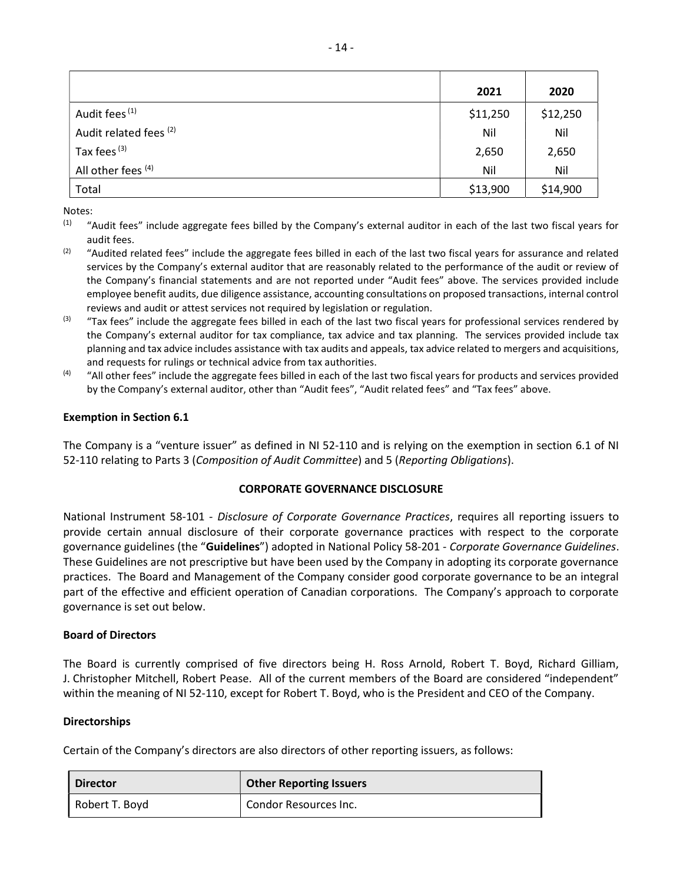|                               | 2021     | 2020     |
|-------------------------------|----------|----------|
| Audit fees <sup>(1)</sup>     | \$11,250 | \$12,250 |
| Audit related fees (2)        | Nil      | Nil      |
| Tax fees (3)                  | 2,650    | 2,650    |
| All other fees <sup>(4)</sup> | Nil      | Nil      |
| Total                         | \$13,900 | \$14,900 |

Notes:

- <sup>(1)</sup> "Audit fees" include aggregate fees billed by the Company's external auditor in each of the last two fiscal years for audit fees.
- $(2)$  "Audited related fees" include the aggregate fees billed in each of the last two fiscal years for assurance and related services by the Company's external auditor that are reasonably related to the performance of the audit or review of the Company's financial statements and are not reported under "Audit fees" above. The services provided include employee benefit audits, due diligence assistance, accounting consultations on proposed transactions, internal control reviews and audit or attest services not required by legislation or regulation.
- <sup>(3)</sup> "Tax fees" include the aggregate fees billed in each of the last two fiscal years for professional services rendered by the Company's external auditor for tax compliance, tax advice and tax planning. The services provided include tax planning and tax advice includes assistance with tax audits and appeals, tax advice related to mergers and acquisitions, and requests for rulings or technical advice from tax authorities.
- $(4)$  "All other fees" include the aggregate fees billed in each of the last two fiscal years for products and services provided by the Company's external auditor, other than "Audit fees", "Audit related fees" and "Tax fees" above.

# Exemption in Section 6.1

The Company is a "venture issuer" as defined in NI 52-110 and is relying on the exemption in section 6.1 of NI 52-110 relating to Parts 3 (Composition of Audit Committee) and 5 (Reporting Obligations).

# CORPORATE GOVERNANCE DISCLOSURE

National Instrument 58-101 - Disclosure of Corporate Governance Practices, requires all reporting issuers to provide certain annual disclosure of their corporate governance practices with respect to the corporate governance guidelines (the "Guidelines") adopted in National Policy 58-201 - Corporate Governance Guidelines. These Guidelines are not prescriptive but have been used by the Company in adopting its corporate governance practices. The Board and Management of the Company consider good corporate governance to be an integral part of the effective and efficient operation of Canadian corporations. The Company's approach to corporate governance is set out below.

# Board of Directors

The Board is currently comprised of five directors being H. Ross Arnold, Robert T. Boyd, Richard Gilliam, J. Christopher Mitchell, Robert Pease. All of the current members of the Board are considered "independent" within the meaning of NI 52-110, except for Robert T. Boyd, who is the President and CEO of the Company.

### Directorships

Certain of the Company's directors are also directors of other reporting issuers, as follows:

| <b>Director</b> | <b>Other Reporting Issuers</b> |
|-----------------|--------------------------------|
| Robert T. Boyd  | Condor Resources Inc.          |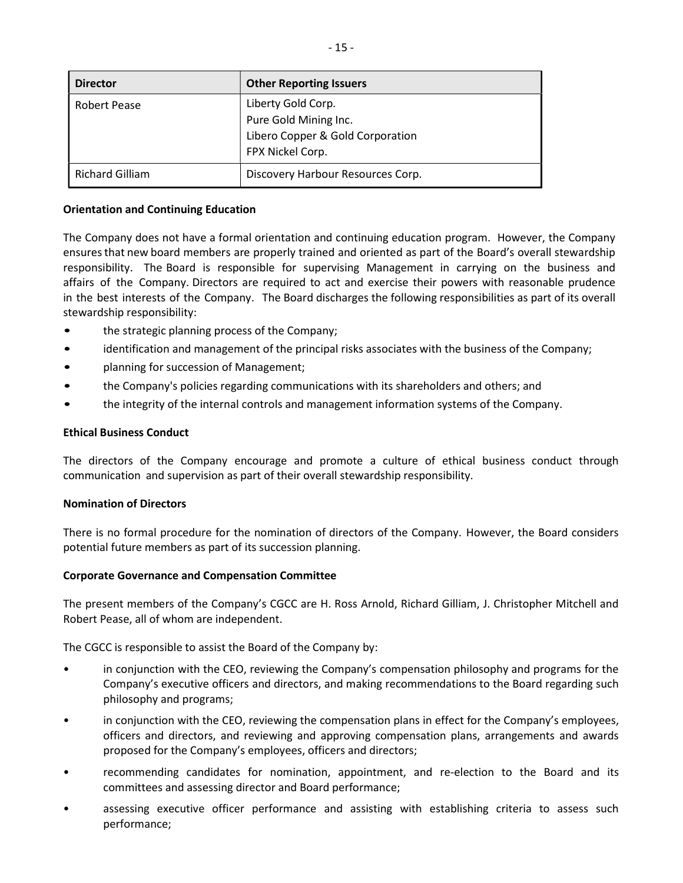| <b>Director</b>        | <b>Other Reporting Issuers</b>                                                                      |
|------------------------|-----------------------------------------------------------------------------------------------------|
| Robert Pease           | Liberty Gold Corp.<br>Pure Gold Mining Inc.<br>Libero Copper & Gold Corporation<br>FPX Nickel Corp. |
| <b>Richard Gilliam</b> | Discovery Harbour Resources Corp.                                                                   |

## Orientation and Continuing Education

The Company does not have a formal orientation and continuing education program. However, the Company ensures that new board members are properly trained and oriented as part of the Board's overall stewardship responsibility. The Board is responsible for supervising Management in carrying on the business and affairs of the Company. Directors are required to act and exercise their powers with reasonable prudence in the best interests of the Company. The Board discharges the following responsibilities as part of its overall stewardship responsibility:

- the strategic planning process of the Company;
- identification and management of the principal risks associates with the business of the Company;
- planning for succession of Management;
- the Company's policies regarding communications with its shareholders and others; and
- the integrity of the internal controls and management information systems of the Company.

### Ethical Business Conduct

The directors of the Company encourage and promote a culture of ethical business conduct through communication and supervision as part of their overall stewardship responsibility.

### Nomination of Directors

There is no formal procedure for the nomination of directors of the Company. However, the Board considers potential future members as part of its succession planning.

### Corporate Governance and Compensation Committee

The present members of the Company's CGCC are H. Ross Arnold, Richard Gilliam, J. Christopher Mitchell and Robert Pease, all of whom are independent.

The CGCC is responsible to assist the Board of the Company by:

- in conjunction with the CEO, reviewing the Company's compensation philosophy and programs for the Company's executive officers and directors, and making recommendations to the Board regarding such philosophy and programs;
- in conjunction with the CEO, reviewing the compensation plans in effect for the Company's employees, officers and directors, and reviewing and approving compensation plans, arrangements and awards proposed for the Company's employees, officers and directors;
- recommending candidates for nomination, appointment, and re-election to the Board and its committees and assessing director and Board performance;
- assessing executive officer performance and assisting with establishing criteria to assess such performance;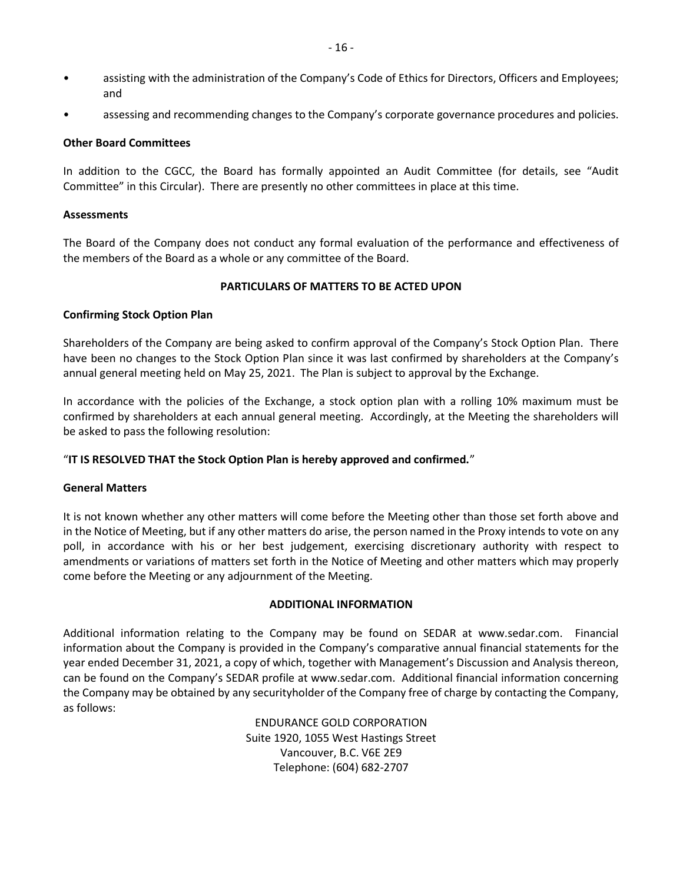- assisting with the administration of the Company's Code of Ethics for Directors, Officers and Employees; and
- assessing and recommending changes to the Company's corporate governance procedures and policies.

## Other Board Committees

In addition to the CGCC, the Board has formally appointed an Audit Committee (for details, see "Audit Committee" in this Circular). There are presently no other committees in place at this time.

## Assessments

The Board of the Company does not conduct any formal evaluation of the performance and effectiveness of the members of the Board as a whole or any committee of the Board.

# PARTICULARS OF MATTERS TO BE ACTED UPON

## Confirming Stock Option Plan

Shareholders of the Company are being asked to confirm approval of the Company's Stock Option Plan. There have been no changes to the Stock Option Plan since it was last confirmed by shareholders at the Company's annual general meeting held on May 25, 2021. The Plan is subject to approval by the Exchange.

In accordance with the policies of the Exchange, a stock option plan with a rolling 10% maximum must be confirmed by shareholders at each annual general meeting. Accordingly, at the Meeting the shareholders will be asked to pass the following resolution:

# "IT IS RESOLVED THAT the Stock Option Plan is hereby approved and confirmed."

# General Matters

It is not known whether any other matters will come before the Meeting other than those set forth above and in the Notice of Meeting, but if any other matters do arise, the person named in the Proxy intends to vote on any poll, in accordance with his or her best judgement, exercising discretionary authority with respect to amendments or variations of matters set forth in the Notice of Meeting and other matters which may properly come before the Meeting or any adjournment of the Meeting.

# ADDITIONAL INFORMATION

Additional information relating to the Company may be found on SEDAR at www.sedar.com. Financial information about the Company is provided in the Company's comparative annual financial statements for the year ended December 31, 2021, a copy of which, together with Management's Discussion and Analysis thereon, can be found on the Company's SEDAR profile at www.sedar.com. Additional financial information concerning the Company may be obtained by any securityholder of the Company free of charge by contacting the Company, as follows:

> ENDURANCE GOLD CORPORATION Suite 1920, 1055 West Hastings Street Vancouver, B.C. V6E 2E9 Telephone: (604) 682-2707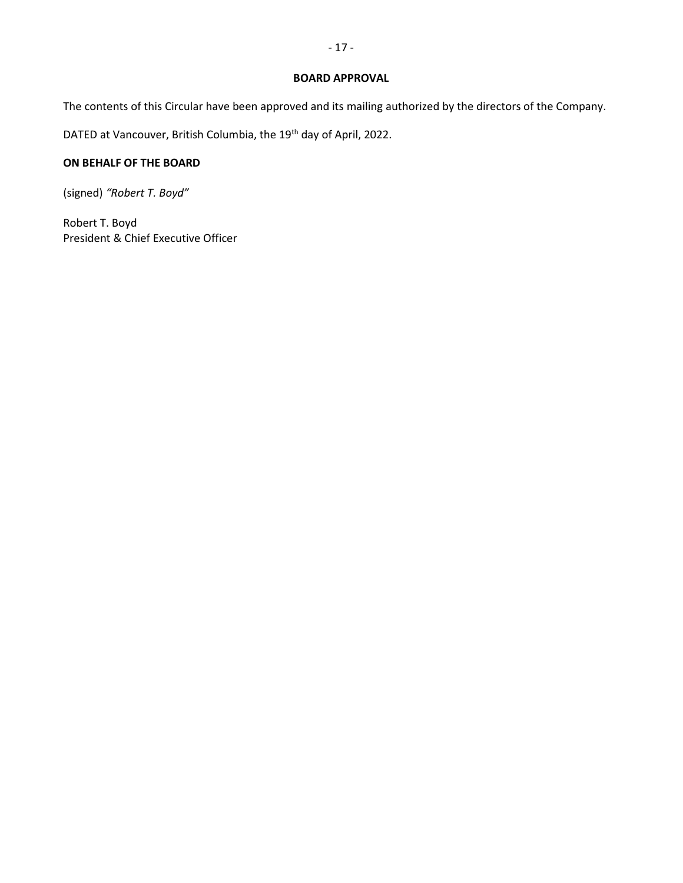### BOARD APPROVAL

The contents of this Circular have been approved and its mailing authorized by the directors of the Company.

DATED at Vancouver, British Columbia, the 19<sup>th</sup> day of April, 2022.

# ON BEHALF OF THE BOARD

(signed) "Robert T. Boyd"

Robert T. Boyd President & Chief Executive Officer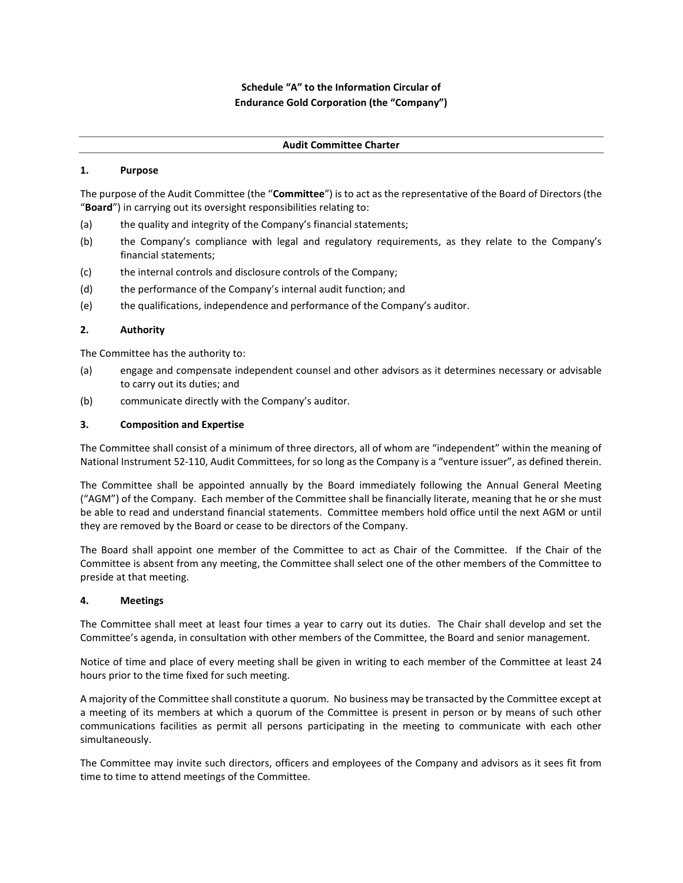# Schedule "A" to the Information Circular of Endurance Gold Corporation (the "Company")

#### Audit Committee Charter

#### 1. Purpose

The purpose of the Audit Committee (the "Committee") is to act as the representative of the Board of Directors (the "Board") in carrying out its oversight responsibilities relating to:

- (a) the quality and integrity of the Company's financial statements;
- (b) the Company's compliance with legal and regulatory requirements, as they relate to the Company's financial statements;
- (c) the internal controls and disclosure controls of the Company;
- (d) the performance of the Company's internal audit function; and
- (e) the qualifications, independence and performance of the Company's auditor.

#### 2. Authority

The Committee has the authority to:

- (a) engage and compensate independent counsel and other advisors as it determines necessary or advisable to carry out its duties; and
- (b) communicate directly with the Company's auditor.

#### 3. Composition and Expertise

The Committee shall consist of a minimum of three directors, all of whom are "independent" within the meaning of National Instrument 52-110, Audit Committees, for so long as the Company is a "venture issuer", as defined therein.

The Committee shall be appointed annually by the Board immediately following the Annual General Meeting ("AGM") of the Company. Each member of the Committee shall be financially literate, meaning that he or she must be able to read and understand financial statements. Committee members hold office until the next AGM or until they are removed by the Board or cease to be directors of the Company.

The Board shall appoint one member of the Committee to act as Chair of the Committee. If the Chair of the Committee is absent from any meeting, the Committee shall select one of the other members of the Committee to preside at that meeting.

#### 4. Meetings

The Committee shall meet at least four times a year to carry out its duties. The Chair shall develop and set the Committee's agenda, in consultation with other members of the Committee, the Board and senior management.

Notice of time and place of every meeting shall be given in writing to each member of the Committee at least 24 hours prior to the time fixed for such meeting.

A majority of the Committee shall constitute a quorum. No business may be transacted by the Committee except at a meeting of its members at which a quorum of the Committee is present in person or by means of such other communications facilities as permit all persons participating in the meeting to communicate with each other simultaneously.

The Committee may invite such directors, officers and employees of the Company and advisors as it sees fit from time to time to attend meetings of the Committee.